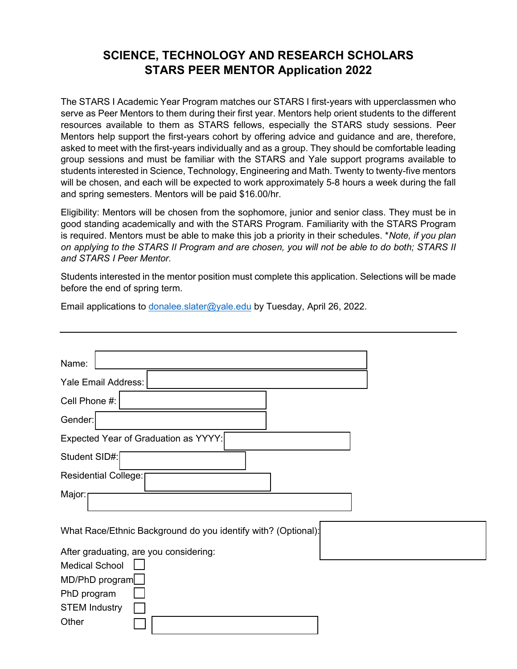## **SCIENCE, TECHNOLOGY AND RESEARCH SCHOLARS STARS PEER MENTOR Application 2022**

The STARS I Academic Year Program matches our STARS I first-years with upperclassmen who serve as Peer Mentors to them during their first year. Mentors help orient students to the different resources available to them as STARS fellows, especially the STARS study sessions. Peer Mentors help support the first-years cohort by offering advice and guidance and are, therefore, asked to meet with the first-years individually and as a group. They should be comfortable leading group sessions and must be familiar with the STARS and Yale support programs available to students interested in Science, Technology, Engineering and Math. Twenty to twenty-five mentors will be chosen, and each will be expected to work approximately 5-8 hours a week during the fall and spring semesters. Mentors will be paid \$16.00/hr.

Eligibility: Mentors will be chosen from the sophomore, junior and senior class. They must be in good standing academically and with the STARS Program. Familiarity with the STARS Program is required. Mentors must be able to make this job a priority in their schedules. \**Note, if you plan on applying to the STARS II Program and are chosen, you will not be able to do both; STARS II and STARS I Peer Mentor.*

Students interested in the mentor position must complete this application. Selections will be made before the end of spring term.

Email applications to [donalee.slater@yale.edu](mailto:donalee.slater@yale.edu) by Tuesday, April 26, 2022.

| Name:                                                         |
|---------------------------------------------------------------|
| Yale Email Address:                                           |
| Cell Phone #:                                                 |
| Gender:                                                       |
| Expected Year of Graduation as YYYY:                          |
| Student SID#:                                                 |
| Residential College:                                          |
| Major:                                                        |
| What Race/Ethnic Background do you identify with? (Optional): |
| After graduating, are you considering:                        |
| <b>Medical School</b>                                         |
| MD/PhD program                                                |
| PhD program                                                   |
| <b>STEM Industry</b>                                          |
| Other                                                         |